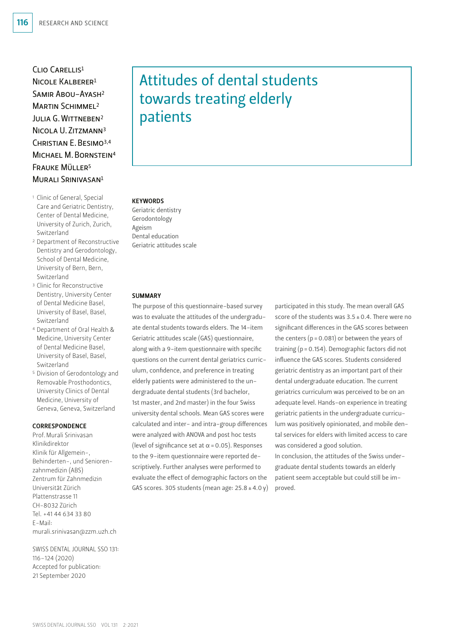CLIO CARELLIS<sup>1</sup>  $N$ ICOLE KALBERER<sup>1</sup> Samir Abou-Ayash2 MARTIN SCHIMMEL<sup>2</sup> JULIA G. WITTNEBEN<sup>2</sup> Nicola U. Zitzmann3 Christian E. Besimo3,4 Michael M. Bornstein4 Frauke Müller5 MURALI SRINIVASAN<sup>1</sup>

- <sup>1</sup> Clinic of General, Special Care and Geriatric Dentistry, Center of Dental Medicine, University of Zurich, Zurich, Switzerland
- <sup>2</sup> Department of Reconstructive Dentistry and Gerodontology, School of Dental Medicine, University of Bern, Bern, Switzerland
- <sup>3</sup> Clinic for Reconstructive Dentistry, University Center of Dental Medicine Basel, University of Basel, Basel, Switzerland
- <sup>4</sup> Department of Oral Health & Medicine, University Center of Dental Medicine Basel, University of Basel, Basel, Switzerland
- <sup>5</sup> Division of Gerodontology and Removable Prosthodontics, University Clinics of Dental Medicine, University of Geneva, Geneva, Switzerland

## **CORRESPONDENCE**

Prof. Murali Srinivasan Klinikdirektor Klinik für Allgemein-, Behinderten-, und Seniorenzahnmedizin (ABS) Zentrum für Zahnmedizin Universität Zürich Plattenstrasse 11 CH-8032 Zürich Tel. +41 44 634 33 80 E-Mail: murali.srinivasan@zzm.uzh.ch

SWISS DENTAL JOURNAL SSO 131: 116–124 (2020) Accepted for publication: 21 September 2020

# Attitudes of dental students towards treating elderly patients

## **KEYWORDS**

Geriatric dentistry Gerodontology Ageism Dental education Geriatric attitudes scale

## **SUMMARY**

The purpose of this questionnaire-based survey was to evaluate the attitudes of the undergraduate dental students towards elders. The 14-item Geriatric attitudes scale (GAS) questionnaire, along with a 9-item questionnaire with specific questions on the current dental geriatrics curriculum, confidence, and preference in treating elderly patients were administered to the undergraduate dental students (3rd bachelor, 1st master, and 2nd master) in the four Swiss university dental schools. Mean GAS scores were calculated and inter- and intra-group differences were analyzed with ANOVA and post hoc tests (level of significance set at  $\alpha$  = 0.05). Responses to the 9-item questionnaire were reported descriptively. Further analyses were performed to evaluate the effect of demographic factors on the GAS scores. 305 students (mean age:  $25.8 \pm 4.0$  y) participated in this study. The mean overall GAS score of the students was  $3.5 \pm 0.4$ . There were no significant differences in the GAS scores between the centers ( $p = 0.081$ ) or between the years of training (p = 0.154). Demographic factors did not influence the GAS scores. Students considered geriatric dentistry as an important part of their dental undergraduate education. The current geriatrics curriculum was perceived to be on an adequate level. Hands-on experience in treating geriatric patients in the undergraduate curriculum was positively opinionated, and mobile dental services for elders with limited access to care was considered a good solution. In conclusion, the attitudes of the Swiss under-

graduate dental students towards an elderly patient seem acceptable but could still be improved.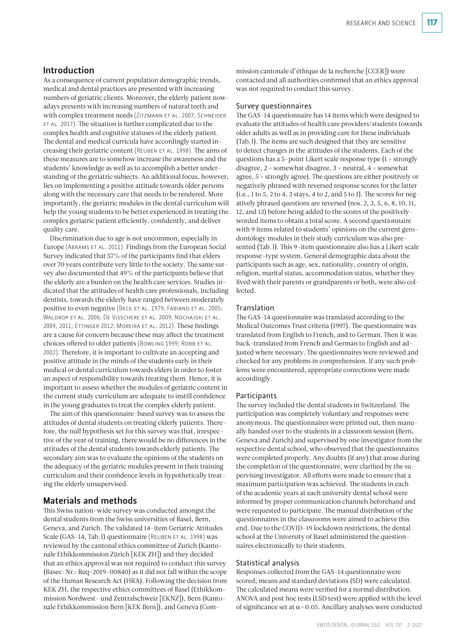# Introduction

As a consequence of current population demographic trends, medical and dental practices are presented with increasing numbers of geriatric clients. Moreover, the elderly patient nowadays presents with increasing numbers of natural teeth and with complex treatment needs (ZITZMANN ET AL. 2007; SCHNEIDER et al. 2017). The situation is further complicated due to the complex health and cognitive statuses of the elderly patient. The dental and medical curricula have accordingly started increasing their geriatric content (Reuben et al. 1998). The aims of these measures are to somehow increase the awareness and the students' knowledge as well as to accomplish a better understanding of the geriatric subjects. An additional focus, however, lies on implementing a positive attitude towards older persons along with the necessary care that needs to be rendered. More importantly, the geriatric modules in the dental curriculum will help the young students to be better experienced in treating the complex geriatric patient efficiently, confidently, and deliver quality care.

Discrimination due to age is not uncommon, especially in Europe (Abrams et al. 2011). Findings from the European Social Survey indicated that 57% of the participants find that elders over 70 years contribute very little to the society. The same survey also documented that 49% of the participants believe that the elderly are a burden on the health care services. Studies indicated that the attitudes of health care professionals, including dentists, towards the elderly have ranged between moderately positive to even negative (Beck et al. 1979; Fabiano et al. 2005; Waldrop et al. 2006; De Visschere et al. 2009; Nochajski et al. 2009, 2011; Ettinger 2012; Moreira et al. 2012). These findings are a cause for concern because these may affect the treatment choices offered to older patients (BOWLING 1999; ROBB ET AL. 2002). Therefore, it is important to cultivate an accepting and positive attitude in the minds of the students early in their medical or dental curriculum towards elders in order to foster an aspect of responsibility towards treating them. Hence, it is important to assess whether the modules of geriatric content in the current study curriculum are adequate to instill confidence in the young graduates to treat the complex elderly patient.

The aim of this questionnaire-based survey was to assess the attitudes of dental students on treating elderly patients. Therefore, the null hypothesis set for this survey was that, irrespective of the year of training, there would be no differences in the attitudes of the dental students towards elderly patients. The secondary aim was to evaluate the opinions of the students on the adequacy of the geriatric modules present in their training curriculum and their confidence levels in hypothetically treating the elderly unsupervised.

# Materials and methods

This Swiss nation-wide survey was conducted amongst the dental students from the Swiss universities of Basel, Bern, Geneva, and Zurich. The validated 14-item Geriatric Attitudes Scale (GAS-14, Tab. I) questionnaire (REUBEN ET AL. 1998) was reviewed by the cantonal ethics committee of Zurich (Kantonale Ethikkommission Zürich [KEK ZH]) and they decided that an ethics approval was not required to conduct this survey ( Basec-Nr.: Req-2019-00840) as it did not fall within the scope of the Human Research Act (HRA). Following the decision from KEK ZH, the respective ethics committees of Basel (Ethikkommission Nordwest- und Zentralschweiz [EKNZ]), Bern (Kantonale Ethikkommission Bern [KEK Bern]), and Geneva (Com-

mission cantonale d'éthique de la recherche [CCER]) were contacted and all authorities confirmed that an ethics approval was not required to conduct this survey.

### Survey questionnaires

The GAS-14 questionnaire has 14 items which were designed to evaluate the attitudes of health care providers/students towards older adults as well as in providing care for these individuals (Tab. I). The items are such designed that they are sensitive to detect changes in the attitudes of the students. Each of the questions has a 5-point Likert scale response type (1 = strongly disagree, 2 = somewhat disagree, 3 = neutral, 4 = somewhat agree, 5 = strongly agree). The questions are either positively or negatively phrased with reversed response scores for the latter  $(i.e., 1 to 5, 2 to 4, 3 stays, 4 to 2, and 5 to 1).$  The scores for negatively phrased questions are reversed (nos. 2, 3, 5, 6, 8, 10, 11, 12, and 13) before being added to the scores of the positivelyworded items to obtain a total score. A second questionnaire with 9 items related to students' opinions on the current gerodontology modules in their study curriculum was also presented (Tab. I). This 9-item questionnaire also has a Likert scale response-type system. General demographic data about the participants such as age, sex, nationality, country of origin, religion, marital status, accommodation status, whether they lived with their parents or grandparents or both, were also collected.

## Translation

The GAS-14 questionnaire was translated according to the Medical Outcomes Trust criteria (1997). The questionnaire was translated from English to French, and to German. Then it was back-translated from French and German to English and adjusted where necessary. The questionnaires were reviewed and checked for any problems in comprehension. If any such problems were encountered, appropriate corrections were made accordingly.

#### Participants

The survey included the dental students in Switzerland. The participation was completely voluntary and responses were anonymous. The questionnaires were printed out, then manually handed over to the students in a classroom session (Bern, Geneva and Zurich) and supervised by one investigator from the respective dental school, who observed that the questionnaires were completed properly. Any doubts (if any) that arose during the completion of the questionnaire, were clarified by the supervising investigator. All efforts were made to ensure that a maximum participation was achieved. The students in each of the academic years at each university dental school were informed by proper communication channels beforehand and were requested to participate. The manual distribution of the questionnaires in the classrooms were aimed to achieve this end. Due to the COVID-19 lockdown restrictions, the dental school at the University of Basel administered the questionnaires electronically to their students.

## Statistical analysis

Responses collected from the GAS-14 questionnaire were scored; means and standard deviations (SD) were calculated. The calculated means were verified for a normal distribution. ANOVA and post hoc tests (LSD test) were applied with the level of significance set at  $\alpha$  = 0.05. Ancillary analyses were conducted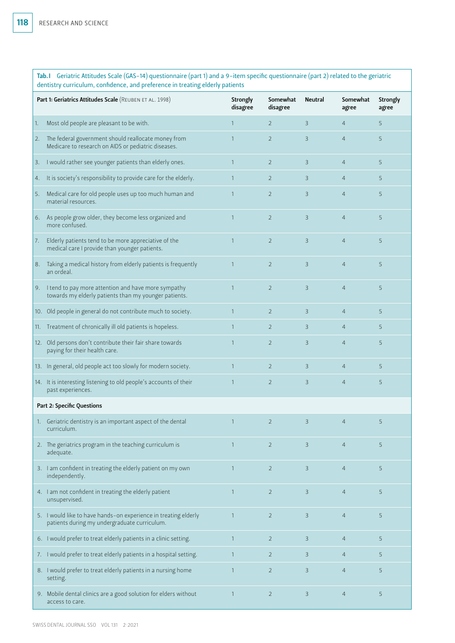Tab. I Geriatric Attitudes Scale (GAS-14) questionnaire (part 1) and a 9-item specific questionnaire (part 2) related to the geriatric dentistry curriculum, confidence, and preference in treating elderly patients

|                                   | Part 1: Geriatrics Attitudes Scale (REUBEN ET AL. 1998)                                                         | <b>Strongly</b><br>disagree | Somewhat<br>disagree | <b>Neutral</b> | Somewhat<br>agree | Strongly<br>agree |
|-----------------------------------|-----------------------------------------------------------------------------------------------------------------|-----------------------------|----------------------|----------------|-------------------|-------------------|
| 1.                                | Most old people are pleasant to be with.                                                                        | $\mathbf{1}$                | $\overline{2}$       | 3              | $\overline{4}$    | 5                 |
| 2.                                | The federal government should reallocate money from<br>Medicare to research on AIDS or pediatric diseases.      | $\mathbf{1}$                | $\overline{2}$       | 3              | $\overline{4}$    | 5                 |
| 3.                                | I would rather see younger patients than elderly ones.                                                          | $\overline{1}$              | $\overline{2}$       | 3              | $\overline{4}$    | 5                 |
| 4.                                | It is society's responsibility to provide care for the elderly.                                                 | $\mathbf{1}$                | $\overline{2}$       | 3              | $\overline{4}$    | 5                 |
| 5.                                | Medical care for old people uses up too much human and<br>material resources.                                   | $\mathbf{1}$                | $\overline{2}$       | 3              | $\overline{4}$    | 5                 |
| 6.                                | As people grow older, they become less organized and<br>more confused.                                          | $\overline{1}$              | $\overline{2}$       | 3              | $\overline{4}$    | 5                 |
| 7.                                | Elderly patients tend to be more appreciative of the<br>medical care I provide than younger patients.           | $\overline{1}$              | $\overline{2}$       | 3              | $\overline{4}$    | 5                 |
| 8.                                | Taking a medical history from elderly patients is frequently<br>an ordeal.                                      | $\mathbf{1}$                | $\overline{2}$       | 3              | $\overline{4}$    | 5                 |
|                                   | 9. I tend to pay more attention and have more sympathy<br>towards my elderly patients than my younger patients. | $\overline{1}$              | $\overline{2}$       | 3              | $\overline{4}$    | 5                 |
|                                   | 10. Old people in general do not contribute much to society.                                                    | $\overline{1}$              | $\overline{2}$       | 3              | $\overline{4}$    | 5                 |
|                                   | 11. Treatment of chronically ill old patients is hopeless.                                                      | $\overline{1}$              | $\overline{2}$       | 3              | $\overline{4}$    | 5                 |
|                                   | 12. Old persons don't contribute their fair share towards<br>paying for their health care.                      | $\overline{1}$              | $\overline{2}$       | 3              | $\overline{4}$    | 5                 |
|                                   | 13. In general, old people act too slowly for modern society.                                                   | $\mathbf{1}$                | $\overline{2}$       | $\mathsf{B}$   | $\overline{4}$    | 5                 |
|                                   | 14. It is interesting listening to old people's accounts of their<br>past experiences.                          | $\mathbf{1}$                | $\overline{2}$       | 3              | $\overline{4}$    | 5                 |
| <b>Part 2: Specific Questions</b> |                                                                                                                 |                             |                      |                |                   |                   |
|                                   | 1. Geriatric dentistry is an important aspect of the dental<br>curriculum.                                      | 1                           | $\overline{2}$       | 3              | $\overline{4}$    | 5                 |
|                                   | 2. The geriatrics program in the teaching curriculum is<br>adequate.                                            | $\mathbf{1}$                | $\overline{2}$       | 3              | $\overline{4}$    | 5                 |
|                                   | 3. I am confident in treating the elderly patient on my own<br>independently.                                   | $\mathbf{1}$                | $\overline{2}$       | 3              | $\overline{4}$    | 5                 |
|                                   | 4. I am not confident in treating the elderly patient<br>unsupervised.                                          | $\mathbf{1}$                | $\overline{2}$       | 3              | $\overline{4}$    | 5                 |
|                                   | 5. I would like to have hands-on experience in treating elderly<br>patients during my undergraduate curriculum. | 1                           | $\overline{2}$       | $\mathsf{B}$   | $\overline{4}$    | 5                 |
|                                   | 6. I would prefer to treat elderly patients in a clinic setting.                                                | $\overline{1}$              | $\overline{2}$       | 3              | $\overline{4}$    | 5                 |
|                                   | 7. I would prefer to treat elderly patients in a hospital setting.                                              | $\mathbf{1}$                | $\overline{2}$       | 3              | $\overline{4}$    | 5                 |
|                                   | 8. I would prefer to treat elderly patients in a nursing home<br>setting.                                       | $\mathbf{1}$                | $\overline{2}$       | 3              | $\overline{4}$    | 5                 |
|                                   | 9. Mobile dental clinics are a good solution for elders without<br>access to care.                              | $\overline{1}$              | $\overline{2}$       | 3              | $\overline{4}$    | 5                 |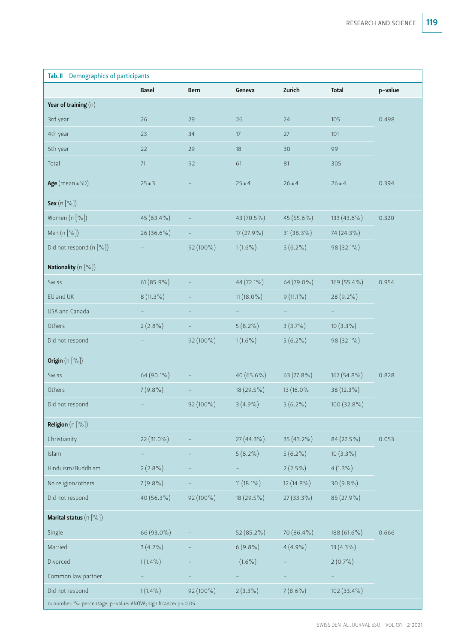| Tab.II Demographics of participants                              |              |           |              |              |               |         |  |
|------------------------------------------------------------------|--------------|-----------|--------------|--------------|---------------|---------|--|
|                                                                  | <b>Basel</b> | Bern      | Geneva       | Zurich       | <b>Total</b>  | p-value |  |
| Year of training $(n)$                                           |              |           |              |              |               |         |  |
| 3rd year                                                         | 26           | 29        | 26           | 24           | 105           | 0.498   |  |
| 4th year                                                         | 23           | 34        | 17           | 27           | 101           |         |  |
| 5th year                                                         | 22           | 29        | 18           | 30           | 99            |         |  |
| Total                                                            | 71           | 92        | 61           | 81           | 305           |         |  |
| Age (mean $\pm$ SD)                                              | $25 \pm 3$   |           | $25 \pm 4$   | $26 \pm 4$   | $26 \pm 4$    | 0.394   |  |
| <b>Sex</b> $(n \cdot 96)$                                        |              |           |              |              |               |         |  |
| Women (n [%])                                                    | 45 (63.4%)   |           | 43 (70.5%)   | 45 (55.6%)   | 133 (43.6%)   | 0.320   |  |
| Men (n [%])                                                      | $26(36.6\%)$ |           | $17(27.9\%)$ | $31(38.3\%)$ | 74 (24.3%)    |         |  |
| Did not respond (n [%])                                          |              | 92 (100%) | $1(1.6\%)$   | $5(6.2\%)$   | 98 (32.1%)    |         |  |
| <b>Nationality</b> $(n \leq 0)$                                  |              |           |              |              |               |         |  |
| Swiss                                                            | $61(85.9\%)$ |           | 44 (72.1%)   | 64 (79.0%)   | 169 (55.4%)   | 0.954   |  |
| EU and UK                                                        | $8(11.3\%)$  |           | $11(18.0\%)$ | $9(11.1\%)$  | 28 (9.2%)     |         |  |
| USA and Canada                                                   |              |           |              |              |               |         |  |
| Others                                                           | $2(2.8\%)$   |           | $5(8.2\%)$   | $3(3.7\%)$   | $10(3.3\%)$   |         |  |
| Did not respond                                                  |              | 92 (100%) | $1(1.6\%)$   | $5(6.2\%)$   | 98 (32.1%)    |         |  |
| Origin $(n \, [ % \circ ])$                                      |              |           |              |              |               |         |  |
| Swiss                                                            | 64 (90.1%)   |           | $40(65.6\%)$ | 63 (77.8%)   | 167 (54.8%)   | 0.828   |  |
| Others                                                           | $7(9.8\%)$   |           | $18(29.5\%)$ | 13 (16.0%    | 38 (12.3%)    |         |  |
| Did not respond                                                  |              | 92 (100%) | $3(4.9\%)$   | $5(6.2\%)$   | 100 (32.8%)   |         |  |
| <b>Religion</b> $(n \leq 0)$                                     |              |           |              |              |               |         |  |
| Christianity                                                     | 22 (31.0%)   |           | $27(44.3\%)$ | 35 (43.2%)   | 84 (27.5%)    | 0.053   |  |
| Islam                                                            |              |           | $5(8.2\%)$   | $5(6.2\%)$   | $10(3.3\%)$   |         |  |
| Hinduism/Buddhism                                                | $2(2.8\%)$   |           |              | $2(2.5\%)$   | $4(1.3\%)$    |         |  |
| No religion/others                                               | $7(9.8\%)$   |           | $11(18.1\%)$ | $12(14.8\%)$ | $30(9.8\%)$   |         |  |
| Did not respond                                                  | 40 (56.3%)   | 92 (100%) | $18(29.5\%)$ | 27 (33.3%)   | 85 (27.9%)    |         |  |
| <b>Marital status</b> $(n \le 0)$                                |              |           |              |              |               |         |  |
| Single                                                           | 66 (93.0%)   |           | 52 (85.2%)   | 70 (86.4%)   | 188 (61.6%)   | 0.666   |  |
| Married                                                          | $3(4.2\%)$   |           | $6(9.8\%)$   | $4(4.9\%)$   | $13(4.3\%)$   |         |  |
| Divorced                                                         | $1(1.4\%)$   |           | $1(1.6\%)$   |              | $2(0.7\%)$    |         |  |
| Common law partner                                               |              |           |              |              |               |         |  |
| Did not respond                                                  | $1(1.4\%)$   | 92 (100%) | $2(3.3\%)$   | $7(8.6\%)$   | $102(33.4\%)$ |         |  |
| n: number; %: percentage; p-value: ANOVA; significance: p < 0.05 |              |           |              |              |               |         |  |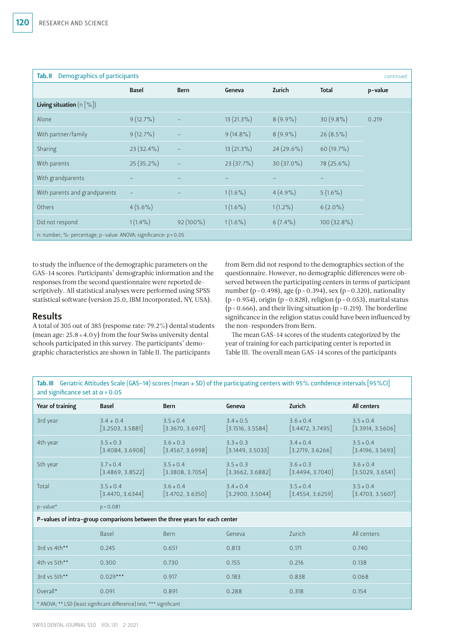| Demographics of participants<br>Tab. II<br>continued             |                   |                   |              |            |               |         |  |
|------------------------------------------------------------------|-------------------|-------------------|--------------|------------|---------------|---------|--|
|                                                                  | <b>Basel</b>      | <b>Bern</b>       | Geneva       | Zurich     | <b>Total</b>  | p-value |  |
| <b>Living situation</b> $(n \leq 0)$                             |                   |                   |              |            |               |         |  |
| Alone                                                            | $9(12.7\%)$       |                   | 13 (21.3%)   | $8(9.9\%)$ | $30(9.8\%)$   | 0.219   |  |
| With partner/family                                              | $9(12.7\%)$       |                   | $9(14.8\%)$  | $8(9.9\%)$ | $26(8.5\%)$   |         |  |
| Sharing                                                          | 23 (32.4%)        | $\qquad \qquad -$ | $13(21.3\%)$ | 24 (29.6%) | 60 (19.7%)    |         |  |
| With parents                                                     | 25 (35.2%)        |                   | 23 (37.7%)   | 30 (37.0%) | 78 (25.6%)    |         |  |
| With grandparents                                                |                   |                   |              |            |               |         |  |
| With parents and grandparents                                    | $\qquad \qquad -$ |                   | $1(1.6\%)$   | $4(4.9\%)$ | $5(1.6\%)$    |         |  |
| Others                                                           | $4(5.6\%)$        |                   | $1(1.6\%)$   | $1(1.2\%)$ | $6(2.0\%)$    |         |  |
| Did not respond                                                  | $1(1.4\%)$        | $92(100\%)$       | $1(1.6\%)$   | $6(7.4\%)$ | $100(32.8\%)$ |         |  |
| n: number; %: percentage; p-value: ANOVA; significance: p < 0.05 |                   |                   |              |            |               |         |  |

to study the influence of the demographic parameters on the GAS-14 scores. Participants' demographic information and the responses from the second questionnaire were reported descriptively. All statistical analyses were performed using SPSS statistical software (version 25.0, IBM Incorporated, NY, USA).

## Results

A total of 305 out of 385 (response rate: 79.2%) dental students (mean age:  $25.8 \pm 4.0$  y) from the four Swiss university dental schools participated in this survey. The participants' demographic characteristics are shown in Table II. The participants

from Bern did not respond to the demographics section of the questionnaire. However, no demographic differences were observed between the participating centers in terms of participant number (p = 0.498), age (p = 0.394), sex (p = 0.320), nationality  $(p = 0.954)$ , origin  $(p = 0.828)$ , religion  $(p = 0.053)$ , marital status  $(p = 0.666)$ , and their living situation  $(p = 0.219)$ . The borderline significance in the religion status could have been influenced by the non-responders from Bern.

The mean GAS-14 scores of the students categorized by the year of training for each participating center is reported in Table III. The overall mean GAS-14 scores of the participants

Tab. III Geriatric Attitudes Scale (GAS-14) scores (mean ± SD) of the participating centers with 95% confidence intervals [95%CI] and significance set at  $\alpha = 0.05$ 

| and significance set at $\alpha$ = 0.05 |                                                                             |                                   |                                   |                                   |                                   |  |  |  |
|-----------------------------------------|-----------------------------------------------------------------------------|-----------------------------------|-----------------------------------|-----------------------------------|-----------------------------------|--|--|--|
| Year of training                        | Basel                                                                       | Bern                              | Geneva                            | Zurich                            | All centers                       |  |  |  |
| 3rd year                                | $3.4 \pm 0.4$<br>[3.2503, 3.5881]                                           | $3.5 \pm 0.4$<br>[3.3670, 3.6971] | $3.4 \pm 0.5$<br>[3.1516, 3.5584] | $3.6 \pm 0.4$<br>[3.4472, 3.7495] | $3.5 \pm 0.4$<br>[3.3914, 3.5606] |  |  |  |
| 4th year                                | $3.5 \pm 0.3$<br>[3.4084, 3.6908]                                           | $3.6 \pm 0.3$<br>[3.4567, 3.6998] | $3.3 \pm 0.3$<br>[3.1449, 3.5033] | $3.4 \pm 0.4$<br>[3.2719, 3.6266] | $3.5 \pm 0.4$<br>[3.4196, 3.5693] |  |  |  |
| 5th year                                | $3.7 \pm 0.4$<br>[3.4869, 3.8522]                                           | $3.5 \pm 0.4$<br>[3.3808, 3.7054] | $3.5 \pm 0.3$<br>[3.3662, 3.6882] | $3.6 \pm 0.3$<br>[3.4494, 3.7040] | $3.6 \pm 0.4$<br>[3.5029, 3.6541] |  |  |  |
| Total                                   | $3.5 \pm 0.4$<br>[3.4470, 3.6344]                                           | $3.6 \pm 0.4$<br>[3.4702, 3.6350] | $3.4 \pm 0.4$<br>[3.2900, 3.5044] | $3.5 \pm 0.4$<br>[3.4554, 3.6259] | $3.5 \pm 0.4$<br>[3.4703, 3.5607] |  |  |  |
| p-value*                                | $p = 0.081$                                                                 |                                   |                                   |                                   |                                   |  |  |  |
|                                         | P-values of intra-group comparisons between the three years for each center |                                   |                                   |                                   |                                   |  |  |  |
|                                         | Basel                                                                       | <b>Bern</b>                       | Geneva                            | Zurich                            | All centers                       |  |  |  |
| 3rd vs 4th**                            | 0.245                                                                       | 0.651                             | 0.813                             | 0.171                             | 0.740                             |  |  |  |
| 4th vs 5th**                            | 0.300                                                                       | 0.730                             | 0.155                             | 0.216                             | 0.138                             |  |  |  |
| 3rd vs 5th**                            | $0.029***$                                                                  | 0.917                             | 0.183                             | 0.838                             | 0.068                             |  |  |  |
| Overall*                                | 0.091                                                                       | 0.891                             | 0.288                             | 0.318                             | 0.154                             |  |  |  |

\* ANOVA; \*\* LSD (least significant difference) test; \*\*\* significant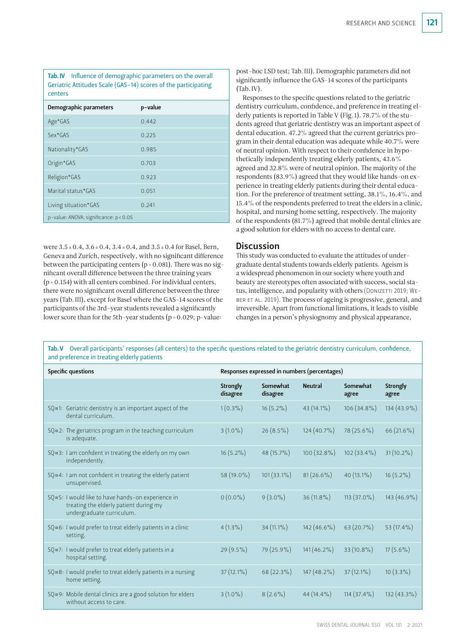Tab. IV Influence of demographic parameters on the overall Geriatric Attitudes Scale (GAS-14) scores of the participating centers

| Demographic parameters                 | p-value |
|----------------------------------------|---------|
| Age*GAS                                | 0.442   |
| Sex*GAS                                | 0.225   |
| Nationality*GAS                        | 0.985   |
| Origin*GAS                             | 0.703   |
| Religion*GAS                           | 0.923   |
| Marital status*GAS                     | 0.051   |
| Living situation*GAS                   | 0.241   |
| p-value: ANOVA; significance: p < 0.05 |         |

were  $3.5 \pm 0.4$ ,  $3.6 \pm 0.4$ ,  $3.4 \pm 0.4$ , and  $3.5 \pm 0.4$  for Basel, Bern, Geneva and Zurich, respectively, with no significant difference between the participating centers ( $p = 0.081$ ). There was no significant overall difference between the three training years  $(p = 0.154)$  with all centers combined. For individual centers, there were no significant overall difference between the three years (Tab. III), except for Basel where the GAS-14 scores of the participants of the 3rd-year students revealed a significantly lower score than for the 5th-year students (p = 0.029; p-value:

post-hoc LSD test; Tab. III). Demographic parameters did not significantly influence the GAS-14 scores of the participants (Tab. IV).

Responses to the specific questions related to the geriatric dentistry curriculum, confidence, and preference in treating elderly patients is reported in Table V (Fig. 1). 78.7% of the students agreed that geriatric dentistry was an important aspect of dental education. 47.2% agreed that the current geriatrics program in their dental education was adequate while 40.7% were of neutral opinion. With respect to their confidence in hypothetically independently treating elderly patients, 43.6% agreed and 32.8% were of neutral opinion. The majority of the respondents (83.9%) agreed that they would like hands-on experience in treating elderly patients during their dental education. For the preference of treatment setting, 38.1%, 16.4%, and 15.4% of the respondents preferred to treat the elders in a clinic, hospital, and nursing home setting, respectively. The majority of the respondents (81.7%) agreed that mobile dental clinics are a good solution for elders with no access to dental care.

# **Discussion**

This study was conducted to evaluate the attitudes of undergraduate dental students towards elderly patients. Ageism is a widespread phenomenon in our society where youth and beauty are stereotypes often associated with success, social status, intelligence, and popularity with others (DONIZETTI 2019; WEber et al. 2019). The process of ageing is progressive, general, and irreversible. Apart from functional limitations, it leads to visible changes in a person's physiognomy and physical appearance,

Tab. V Overall participants' responses (all centers) to the specific questions related to the geriatric dentistry curriculum, confidence, and preference in treating elderly patients

| Specific questions |                                                                                                                          | Responses expressed in numbers (percentages) |                      |                |                   |                   |  |
|--------------------|--------------------------------------------------------------------------------------------------------------------------|----------------------------------------------|----------------------|----------------|-------------------|-------------------|--|
|                    |                                                                                                                          | Strongly<br>disagree                         | Somewhat<br>disagree | <b>Neutral</b> | Somewhat<br>agree | Strongly<br>agree |  |
|                    | $SQ$ #1: Geriatric dentistry is an important aspect of the<br>dental curriculum.                                         | $1(0.3\%)$                                   | $16(5.2\%)$          | 43 (14.1%)     | $106(34.8\%)$     | 134 (43.9%)       |  |
|                    | $SQ$ #2: The geriatrics program in the teaching curriculum<br>is adequate.                                               | $3(1.0\%)$                                   | $26(8.5\%)$          | $124(40.7\%)$  | $78(25.6\%)$      | 66 (21.6%)        |  |
|                    | $SQ$ #3: I am confident in treating the elderly on my own<br>independently.                                              | $16(5.2\%)$                                  | 48 (15.7%)           | $100(32.8\%)$  | $102(33.4\%)$     | $31(10.2\%)$      |  |
|                    | SQ#4: I am not confident in treating the elderly patient<br>unsupervised.                                                | 58 (19.0%)                                   | $101(33.1\%)$        | $81(26.6\%)$   | 40 (13.1%)        | $16(5.2\%)$       |  |
|                    | SQ#5: I would like to have hands-on experience in<br>treating the elderly patient during my<br>undergraduate curriculum. | $0(0.0\%)$                                   | $9(3.0\%)$           | $36(11.8\%)$   | $113(37.0\%)$     | 143 (46.9%)       |  |
|                    | SQ#6: I would prefer to treat elderly patients in a clinic<br>setting.                                                   | $4(1.3\%)$                                   | 34 (11.1%)           | $142(46.6\%)$  | $63(20.7\%)$      | 53 $(17.4\%)$     |  |
|                    | SQ#7: I would prefer to treat elderly patients in a<br>hospital setting.                                                 | $29(9.5\%)$                                  | 79 (25.9%)           | $141(46.2\%)$  | $33(10.8\%)$      | $17(5.6\%)$       |  |
|                    | SQ#8: I would prefer to treat elderly patients in a nursing<br>home setting.                                             | $37(12.1\%)$                                 | 68 (22.3%)           | $147(48.2\%)$  | $37(12.1\%)$      | $10(3.3\%)$       |  |
|                    | $SQ$ #9: Mobile dental clinics are a good solution for elders<br>without access to care.                                 | $3(1.0\%)$                                   | $8(2.6\%)$           | $44(14.4\%)$   | $114(37.4\%)$     | $132(43.3\%)$     |  |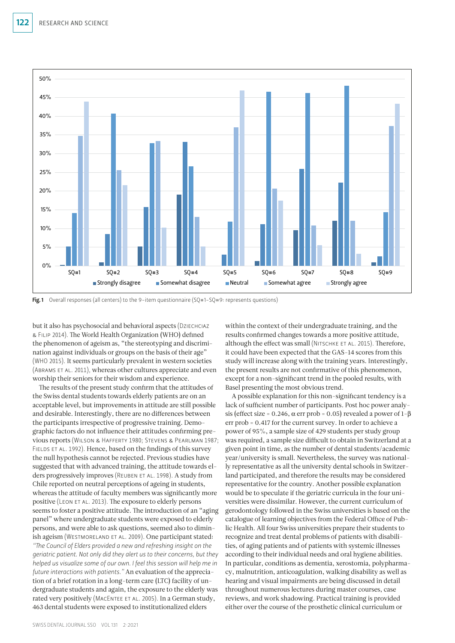

Fig. 1 Overall responses (all centers) to the 9-item questionnaire  $(SQ+1-SQ+9)$ : represents questions)

but it also has psychosocial and behavioral aspects (Dziechciaz & Filip 2014). The World Health Organization (WHO) defined the phenomenon of ageism as, "the stereotyping and discrimination against individuals or groups on the basis of their age" (WHO 2015). It seems particularly prevalent in western societies (Abrams et al. 2011), whereas other cultures appreciate and even worship their seniors for their wisdom and experience.

The results of the present study confirm that the attitudes of the Swiss dental students towards elderly patients are on an acceptable level, but improvements in attitude are still possible and desirable. Interestingly, there are no differences between the participants irrespective of progressive training. Demographic factors do not influence their attitudes confirming previous reports (Wilson & Hafferty 1980; Stevens & Pearlman 1987; FIELDS ET AL. 1992). Hence, based on the findings of this survey the null hypothesis cannot be rejected. Previous studies have suggested that with advanced training, the attitude towards elders progressively improves (Reuben et al. 1998). A study from Chile reported on neutral perceptions of ageing in students, whereas the attitude of faculty members was significantly more positive (Leon et al. 2013). The exposure to elderly persons seems to foster a positive attitude. The introduction of an "aging panel" where undergraduate students were exposed to elderly persons, and were able to ask questions, seemed also to diminish ageism (WESTMORELAND ET AL. 2009). One participant stated: *"The Council of Elders provided a new and refreshing insight on the geriatric patient. Not only did they alert us to their concerns, but they helped us visualize some of our own. I feel this session will help me in future interactions with patients."* An evaluation of the appreciation of a brief rotation in a long-term care (LTC) facility of undergraduate students and again, the exposure to the elderly was rated very positively (MacEntee et al. 2005). In a German study, 463 dental students were exposed to institutionalized elders

within the context of their undergraduate training, and the results confirmed changes towards a more positive attitude, although the effect was small (NITSCHKE ET AL. 2015). Therefore, it could have been expected that the GAS-14 scores from this study will increase along with the training years. Interestingly, the present results are not confirmative of this phenomenon, except for a non-significant trend in the pooled results, with Basel presenting the most obvious trend.

A possible explanation for this non-significant tendency is a lack of sufficient number of participants. Post hoc power analysis (effect size = 0.246,  $\alpha$  err prob = 0.05) revealed a power of 1- $\beta$ err prob = 0.417 for the current survey. In order to achieve a power of 95%, a sample size of 429 students per study group was required, a sample size difficult to obtain in Switzerland at a given point in time, as the number of dental students/academic year/university is small. Nevertheless, the survey was nationally representative as all the university dental schools in Switzerland participated, and therefore the results may be considered representative for the country. Another possible explanation would be to speculate if the geriatric curricula in the four universities were dissimilar. However, the current curriculum of gerodontology followed in the Swiss universities is based on the catalogue of learning objectives from the Federal Office of Public Health. All four Swiss universities prepare their students to recognize and treat dental problems of patients with disabilities, of aging patients and of patients with systemic illnesses according to their individual needs and oral hygiene abilities. In particular, conditions as dementia, xerostomia, polypharmacy, malnutrition, anticoagulation, walking disability as well as hearing and visual impairments are being discussed in detail throughout numerous lectures during master courses, case reviews, and work shadowing. Practical training is provided either over the course of the prosthetic clinical curriculum or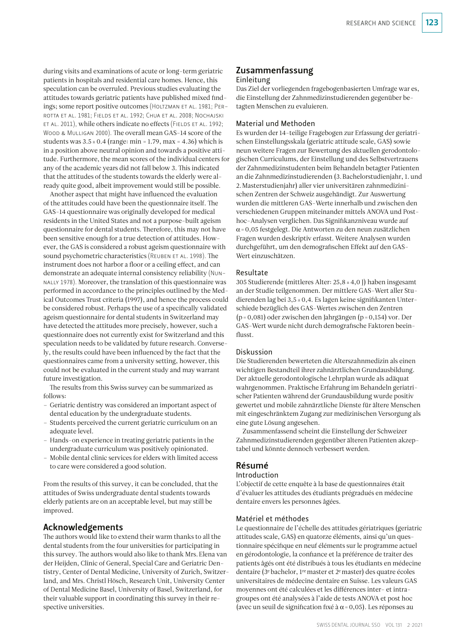during visits and examinations of acute or long-term geriatric patients in hospitals and residential care homes. Hence, this speculation can be overruled. Previous studies evaluating the attitudes towards geriatric patients have published mixed findings; some report positive outcomes (HOLTZMAN ET AL. 1981; PERrotta et al. 1981; Fields et al. 1992; Chua et al. 2008; Nochajski ET AL. 2011), while others indicate no effects (FIELDS ET AL. 1992; WOOD & MULLIGAN 2000). The overall mean GAS-14 score of the students was  $3.5 \pm 0.4$  (range: min = 1.79, max = 4.36) which is in a position above neutral opinion and towards a positive attitude. Furthermore, the mean scores of the individual centers for any of the academic years did not fall below 3. This indicated that the attitudes of the students towards the elderly were already quite good, albeit improvement would still be possible.

Another aspect that might have influenced the evaluation of the attitudes could have been the questionnaire itself. The GAS-14 questionnaire was originally developed for medical residents in the United States and not a purpose-built ageism questionnaire for dental students. Therefore, this may not have been sensitive enough for a true detection of attitudes. However, the GAS is considered a robust ageism questionnaire with sound psychometric characteristics (REUBEN ET AL. 1998). The instrument does not harbor a floor or a ceiling effect, and can demonstrate an adequate internal consistency reliability (Nunnally 1978). Moreover, the translation of this questionnaire was performed in accordance to the principles outlined by the Medical Outcomes Trust criteria (1997), and hence the process could be considered robust. Perhaps the use of a specifically validated ageism questionnaire for dental students in Switzerland may have detected the attitudes more precisely, however, such a questionnaire does not currently exist for Switzerland and this speculation needs to be validated by future research. Conversely, the results could have been influenced by the fact that the questionnaires came from a university setting, however, this could not be evaluated in the current study and may warrant future investigation.

The results from this Swiss survey can be summarized as follows:

- Geriatric dentistry was considered an important aspect of dental education by the undergraduate students.
- Students perceived the current geriatric curriculum on an adequate level.
- Hands-on experience in treating geriatric patients in the undergraduate curriculum was positively opinionated.
- Mobile dental clinic services for elders with limited access to care were considered a good solution.

From the results of this survey, it can be concluded, that the attitudes of Swiss undergraduate dental students towards elderly patients are on an acceptable level, but may still be improved.

## Acknowledgements

The authors would like to extend their warm thanks to all the dental students from the four universities for participating in this survey. The authors would also like to thank Mrs. Elena van der Heijden, Clinic of General, Special Care and Geriatric Dentistry, Center of Dental Medicine, University of Zurich, Switzerland, and Mrs. Christl Hösch, Research Unit, University Center of Dental Medicine Basel, University of Basel, Switzerland, for their valuable support in coordinating this survey in their respective universities.

## Zusammenfassung Einleitung

Das Ziel der vorliegenden fragebogenbasierten Umfrage war es, die Einstellung der Zahnmedizinstudierenden gegenüber betagten Menschen zu evaluieren.

## Material und Methoden

Es wurden der 14-teilige Fragebogen zur Erfassung der geriatrischen Einstellungsskala (geriatric attitude scale, GAS) sowie neun weitere Fragen zur Bewertung des aktuellen gerodontologischen Curriculums, der Einstellung und des Selbstvertrauens der Zahnmedizinstudenten beim Behandeln betagter Patienten an die Zahnmedizinstudierenden (3. Bachelorstudienjahr, 1. und 2. Masterstudienjahr) aller vier universitären zahnmedizinischen Zentren der Schweiz ausgehändigt. Zur Auswertung wurden die mittleren GAS-Werte innerhalb und zwischen den verschiedenen Gruppen miteinander mittels ANOVA und Posthoc- Analysen verglichen. Das Signifikanzniveau wurde auf α= 0,05 festgelegt. Die Antworten zu den neun zusätzlichen Fragen wurden deskriptiv erfasst. Weitere Analysen wurden durchgeführt, um den demografischen Effekt auf den GAS-Wert einzuschätzen.

## Resultate

305 Studierende (mittleres Alter: 25,8 ± 4,0 J) haben insgesamt an der Studie teilgenommen. Der mittlere GAS-Wert aller Studierenden lag bei 3,5 ± 0,4. Es lagen keine signifikanten Unterschiede bezüglich des GAS-Wertes zwischen den Zentren (p = 0,081) oder zwischen den Jahrgängen (p = 0,154) vor. Der GAS-Wert wurde nicht durch demografische Faktoren beeinflusst.

### Diskussion

Die Studierenden bewerteten die Alterszahnmedizin als einen wichtigen Bestandteil ihrer zahnärztlichen Grundausbildung. Der aktuelle gerodontologische Lehrplan wurde als adäquat wahrgenommen. Praktische Erfahrung im Behandeln geriatrischer Patienten während der Grundausbildung wurde positiv gewertet und mobile zahnärztliche Dienste für ältere Menschen mit eingeschränktem Zugang zur medizinischen Versorgung als eine gute Lösung angesehen.

Zusammenfassend scheint die Einstellung der Schweizer Zahnmedizinstudierenden gegenüber älteren Patienten akzeptabel und könnte dennoch verbessert werden.

## Résumé

### Introduction

L'objectif de cette enquête à la base de questionnaires était d'évaluer les attitudes des étudiants prégradués en médecine dentaire envers les personnes âgées.

## Matériel et méthodes

Le questionnaire de l'échelle des attitudes gériatriques (geriatric attitudes scale, GAS) en quatorze éléments, ainsi qu'un questionnaire spécifique en neuf éléments sur le programme actuel en gérodontologie, la confiance et la préférence de traiter des patients âgés ont été distribués à tous les étudiants en médecine dentaire (3e bachelor, 1re master et 2e master) des quatre écoles universitaires de médecine dentaire en Suisse. Les valeurs GAS moyennes ont été calculées et les différences inter- et intragroupes ont été analysées à l'aide de tests ANOVA et post hoc (avec un seuil de signification fixé à  $\alpha$  = 0,05). Les réponses au